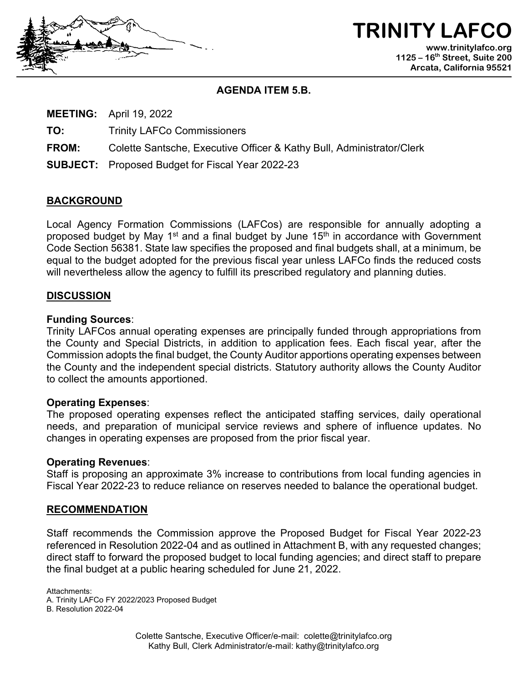

**TRINITY LAFCO www.trinitylafco.org 1125 – 16th Street, Suite 200 Arcata, California 95521**

## **AGENDA ITEM 5.B.**

**MEETING:** April 19, 2022

**TO:** Trinity LAFCo Commissioners

**FROM:** Colette Santsche, Executive Officer & Kathy Bull, Administrator/Clerk

**SUBJECT:** Proposed Budget for Fiscal Year 2022-23

## **BACKGROUND**

Local Agency Formation Commissions (LAFCos) are responsible for annually adopting a proposed budget by May 1<sup>st</sup> and a final budget by June 15<sup>th</sup> in accordance with Government Code Section 56381. State law specifies the proposed and final budgets shall, at a minimum, be equal to the budget adopted for the previous fiscal year unless LAFCo finds the reduced costs will nevertheless allow the agency to fulfill its prescribed regulatory and planning duties.

## **DISCUSSION**

## **Funding Sources**:

Trinity LAFCos annual operating expenses are principally funded through appropriations from the County and Special Districts, in addition to application fees. Each fiscal year, after the Commission adopts the final budget, the County Auditor apportions operating expenses between the County and the independent special districts. Statutory authority allows the County Auditor to collect the amounts apportioned.

## **Operating Expenses**:

The proposed operating expenses reflect the anticipated staffing services, daily operational needs, and preparation of municipal service reviews and sphere of influence updates. No changes in operating expenses are proposed from the prior fiscal year.

### **Operating Revenues**:

Staff is proposing an approximate 3% increase to contributions from local funding agencies in Fiscal Year 2022-23 to reduce reliance on reserves needed to balance the operational budget.

### **RECOMMENDATION**

Staff recommends the Commission approve the Proposed Budget for Fiscal Year 2022-23 referenced in Resolution 2022-04 and as outlined in Attachment B, with any requested changes; direct staff to forward the proposed budget to local funding agencies; and direct staff to prepare the final budget at a public hearing scheduled for June 21, 2022.

Attachments:

A. Trinity LAFCo FY 2022/2023 Proposed Budget

B. Resolution 2022-04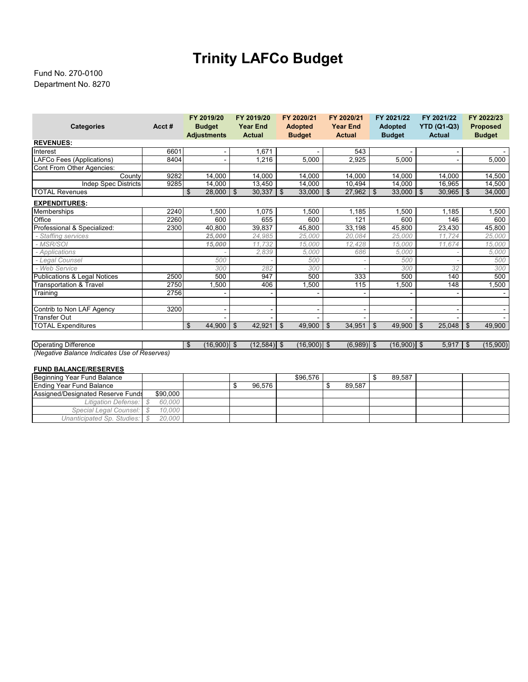# **Trinity LAFCo Budget**

### Department No. 8270 Fund No. 270-0100

| <b>Categories</b>                            | Acct# | FY 2019/20<br><b>Budget</b>     | FY 2019/20<br><b>Year End</b> | FY 2020/21<br><b>Adopted</b> | FY 2020/21<br><b>Year End</b> | FY 2021/22<br><b>Adopted</b> | FY 2021/22<br><b>YTD (Q1-Q3)</b> | FY 2022/23<br><b>Proposed</b> |  |  |  |
|----------------------------------------------|-------|---------------------------------|-------------------------------|------------------------------|-------------------------------|------------------------------|----------------------------------|-------------------------------|--|--|--|
|                                              |       | <b>Adjustments</b>              | <b>Actual</b>                 | <b>Budget</b>                | <b>Actual</b>                 | <b>Budget</b>                | <b>Actual</b>                    | <b>Budget</b>                 |  |  |  |
| <b>REVENUES:</b>                             |       |                                 |                               |                              |                               |                              |                                  |                               |  |  |  |
| Interest                                     | 6601  |                                 | 1,671                         |                              | 543                           |                              |                                  |                               |  |  |  |
| LAFCo Fees (Applications)                    | 8404  |                                 | 1,216                         | 5,000                        | 2,925                         | 5,000                        | $\overline{\phantom{a}}$         | 5,000                         |  |  |  |
| Cont From Other Agencies:                    |       |                                 |                               |                              |                               |                              |                                  |                               |  |  |  |
| County                                       | 9282  | 14,000                          | 14.000                        | 14.000                       | 14.000                        | 14.000                       | 14,000                           | 14,500                        |  |  |  |
| <b>Indep Spec Districts</b>                  | 9285  | 14.000                          | 13,450                        | 14.000                       | 10.494                        | 14.000                       | 16,965                           | 14,500                        |  |  |  |
| <b>TOTAL Revenues</b>                        |       | \$<br>28,000                    | $\sqrt{3}$<br>30,337          | $\mathbf{\hat{s}}$<br>33,000 | $\mathfrak{S}$<br>27,962      | \$<br>33,000                 | $\mathfrak{L}$<br>$30,965$ \ \$  | 34,000                        |  |  |  |
| <b>EXPENDITURES:</b>                         |       |                                 |                               |                              |                               |                              |                                  |                               |  |  |  |
| Memberships                                  | 2240  | 1,500                           | 1.075                         | .500                         | 1.185                         | .500                         | 1.185                            | 1,500                         |  |  |  |
| Office                                       | 2260  | 600                             | 655                           | 600                          | 121                           | 600                          | 146                              | 600                           |  |  |  |
| Professional & Specialized:                  | 2300  | 40,800                          | 39,837                        | 45,800                       | 33,198                        | 45,800                       | 23,430                           | 45,800                        |  |  |  |
| - Staffing services                          |       | 25,000                          | 24,985                        | 25,000                       | 20,084                        | 25,000                       | 11,724                           | 25,000                        |  |  |  |
| - MSR/SOI                                    |       | 15,000                          | 11,732                        | 15,000                       | 12,428                        | 15,000                       | 11.674                           | 15,000                        |  |  |  |
| - Applications                               |       |                                 | 2,839                         | 5,000                        | 686                           | 5,000                        |                                  | 5,000                         |  |  |  |
| - Legal Counsel                              |       | 500                             |                               | 500                          |                               | 500                          |                                  | 500                           |  |  |  |
| - Web Service                                |       | 300                             | 282                           | 300                          |                               | 300                          | 32                               | 300                           |  |  |  |
| <b>Publications &amp; Legal Notices</b>      | 2500  | 500                             | 947                           | 500                          | 333                           | 500                          | 140                              | 500                           |  |  |  |
| <b>Transportation &amp; Travel</b>           | 2750  | 1,500                           | 406                           | 1,500                        | 115                           | ,500                         | 148                              | 1,500                         |  |  |  |
| Training                                     | 2756  |                                 |                               |                              |                               |                              |                                  |                               |  |  |  |
| Contrib to Non LAF Agency                    | 3200  |                                 |                               | ٠                            |                               |                              | $\overline{\phantom{a}}$         |                               |  |  |  |
| <b>Transfer Out</b>                          |       |                                 |                               |                              |                               |                              |                                  |                               |  |  |  |
| <b>TOTAL Expenditures</b>                    |       | \$<br>44,900                    | l \$<br>42,921                | \$<br>49,900                 | \$<br>34,951                  | $\mathfrak{F}$<br>49,900     | 25,048<br>\$                     | 49,900<br>\$                  |  |  |  |
|                                              |       |                                 |                               |                              |                               |                              |                                  |                               |  |  |  |
| <b>Operating Difference</b>                  |       | $\mathfrak{S}$<br>$(16,900)$ \$ | $(12,584)$ \$                 | $(16,900)$ \$                | $(6,989)$ \$                  | $(16,900)$ \$                | $5,917$ \$                       | (15,900)                      |  |  |  |
| (Negative Balance Indicates Use of Reserves) |       |                                 |                               |                              |                               |                              |                                  |                               |  |  |  |

#### **FUND BALANCE/RESERVES**

| Beginning Year Fund Balance       |  |          |  |  |        | \$96.576 |  |        |  | 89.587 |  |
|-----------------------------------|--|----------|--|--|--------|----------|--|--------|--|--------|--|
| <b>Ending Year Fund Balance</b>   |  |          |  |  | 96.576 |          |  | 89.587 |  |        |  |
| Assigned/Designated Reserve Funds |  | \$90,000 |  |  |        |          |  |        |  |        |  |
| Litigation Defense:               |  | 60.000   |  |  |        |          |  |        |  |        |  |
| Special Legal Counsel: S          |  | 10.000   |  |  |        |          |  |        |  |        |  |
| Unanticipated Sp. Studies: \$     |  | 20,000   |  |  |        |          |  |        |  |        |  |
|                                   |  |          |  |  |        |          |  |        |  |        |  |